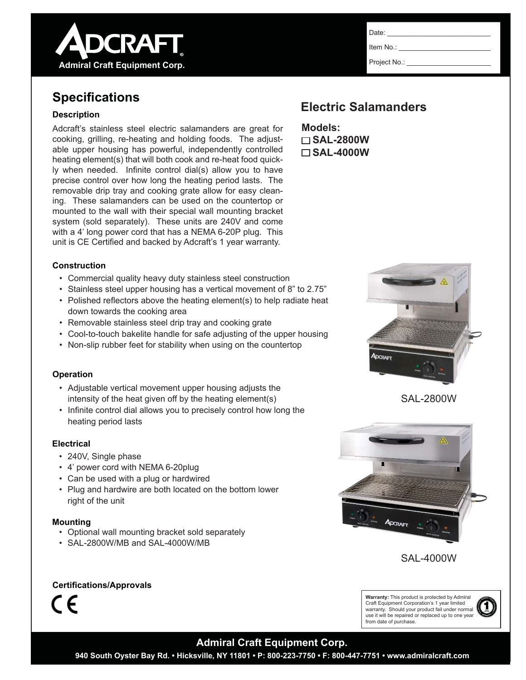

# **Specifications**

### **Description**

Adcraft's stainless steel electric salamanders are great for cooking, grilling, re-heating and holding foods. The adjustable upper housing has powerful, independently controlled heating element(s) that will both cook and re-heat food quickly when needed. Infinite control dial(s) allow you to have precise control over how long the heating period lasts. The removable drip tray and cooking grate allow for easy cleaning. These salamanders can be used on the countertop or mounted to the wall with their special wall mounting bracket system (sold separately). These units are 240V and come with a 4' long power cord that has a NEMA 6-20P plug. This unit is CE Certified and backed by Adcraft's 1 year warranty.

#### **Construction**

- Commercial quality heavy duty stainless steel construction
- Stainless steel upper housing has a vertical movement of 8" to 2.75"
- $\cdot$  Polished reflectors above the heating element(s) to help radiate heat down towards the cooking area
- Removable stainless steel drip tray and cooking grate
- Cool-to-touch bakelite handle for safe adjusting of the upper housing
- Non-slip rubber feet for stability when using on the countertop

### **Operation**

- Adjustable vertical movement upper housing adjusts the intensity of the heat given off by the heating element(s)
- Infinite control dial allows you to precisely control how long the heating period lasts

### **Electrical**

- 240V, Single phase
- 4' power cord with NEMA 6-20plug
- Can be used with a plug or hardwired
- Plug and hardwire are both located on the bottom lower right of the unit

### **Mounting**

- Optional wall mounting bracket sold separately
- SAL-2800W/MB and SAL-4000W/MB

### **Certifications/Approvals**

 $\epsilon$ 

Date: Item No.:

Project No.:

## **Electric Salamanders**

**Models: SAL-2800W SAL-4000W**







SAL-4000W

**Warranty:** This product is protected by Admiral Craft Equipment Corporation's 1 year limited warranty. Should your product fail under normal use it will be repaired or replaced up to one year

from date of purchase.

YEAR **LIMITED** <sup>W</sup>ARRANT<sup>Y</sup>  $\textcircled{\small{1}}$ 

### **Admiral Craft Equipment Corp.**

**940 South Oyster Bay Rd. • Hicksville, NY 11801 • P: 800-223-7750 • F: 800-447-7751 • www.admiralcraft.com**